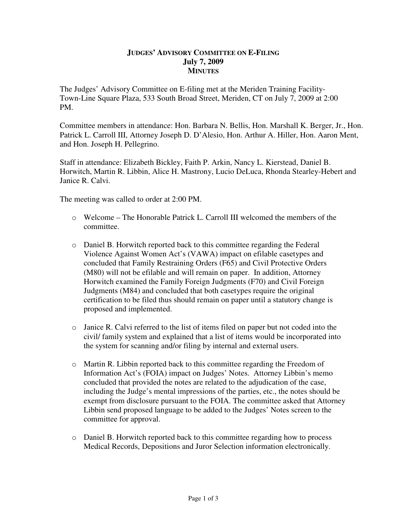## **JUDGES' ADVISORY COMMITTEE ON E-FILING July 7, 2009 MINUTES**

The Judges' Advisory Committee on E-filing met at the Meriden Training Facility-Town-Line Square Plaza, 533 South Broad Street, Meriden, CT on July 7, 2009 at 2:00 PM.

Committee members in attendance: Hon. Barbara N. Bellis, Hon. Marshall K. Berger, Jr., Hon. Patrick L. Carroll III, Attorney Joseph D. D'Alesio, Hon. Arthur A. Hiller, Hon. Aaron Ment, and Hon. Joseph H. Pellegrino.

Staff in attendance: Elizabeth Bickley, Faith P. Arkin, Nancy L. Kierstead, Daniel B. Horwitch, Martin R. Libbin, Alice H. Mastrony, Lucio DeLuca, Rhonda Stearley-Hebert and Janice R. Calvi.

The meeting was called to order at 2:00 PM.

- o Welcome The Honorable Patrick L. Carroll III welcomed the members of the committee.
- o Daniel B. Horwitch reported back to this committee regarding the Federal Violence Against Women Act's (VAWA) impact on efilable casetypes and concluded that Family Restraining Orders (F65) and Civil Protective Orders (M80) will not be efilable and will remain on paper. In addition, Attorney Horwitch examined the Family Foreign Judgments (F70) and Civil Foreign Judgments (M84) and concluded that both casetypes require the original certification to be filed thus should remain on paper until a statutory change is proposed and implemented.
- $\circ$  Janice R. Calvi referred to the list of items filed on paper but not coded into the civil/ family system and explained that a list of items would be incorporated into the system for scanning and/or filing by internal and external users.
- $\circ$  Martin R. Libbin reported back to this committee regarding the Freedom of Information Act's (FOIA) impact on Judges' Notes. Attorney Libbin's memo concluded that provided the notes are related to the adjudication of the case, including the Judge's mental impressions of the parties, etc., the notes should be exempt from disclosure pursuant to the FOIA. The committee asked that Attorney Libbin send proposed language to be added to the Judges' Notes screen to the committee for approval.
- o Daniel B. Horwitch reported back to this committee regarding how to process Medical Records, Depositions and Juror Selection information electronically.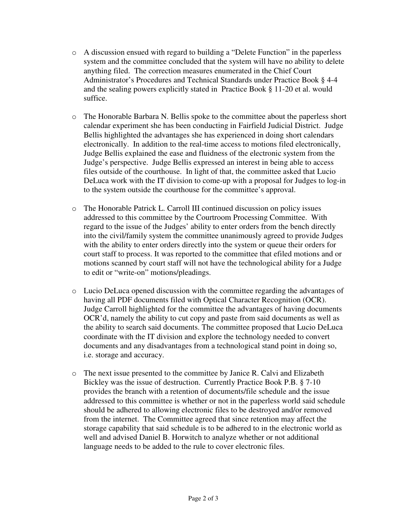- $\circ$  A discussion ensued with regard to building a "Delete Function" in the paperless system and the committee concluded that the system will have no ability to delete anything filed. The correction measures enumerated in the Chief Court Administrator's Procedures and Technical Standards under Practice Book § 4-4 and the sealing powers explicitly stated in Practice Book § 11-20 et al. would suffice.
- o The Honorable Barbara N. Bellis spoke to the committee about the paperless short calendar experiment she has been conducting in Fairfield Judicial District. Judge Bellis highlighted the advantages she has experienced in doing short calendars electronically. In addition to the real-time access to motions filed electronically, Judge Bellis explained the ease and fluidness of the electronic system from the Judge's perspective. Judge Bellis expressed an interest in being able to access files outside of the courthouse. In light of that, the committee asked that Lucio DeLuca work with the IT division to come-up with a proposal for Judges to log-in to the system outside the courthouse for the committee's approval.
- o The Honorable Patrick L. Carroll III continued discussion on policy issues addressed to this committee by the Courtroom Processing Committee. With regard to the issue of the Judges' ability to enter orders from the bench directly into the civil/family system the committee unanimously agreed to provide Judges with the ability to enter orders directly into the system or queue their orders for court staff to process. It was reported to the committee that efiled motions and or motions scanned by court staff will not have the technological ability for a Judge to edit or "write-on" motions/pleadings.
- o Lucio DeLuca opened discussion with the committee regarding the advantages of having all PDF documents filed with Optical Character Recognition (OCR). Judge Carroll highlighted for the committee the advantages of having documents OCR'd, namely the ability to cut copy and paste from said documents as well as the ability to search said documents. The committee proposed that Lucio DeLuca coordinate with the IT division and explore the technology needed to convert documents and any disadvantages from a technological stand point in doing so, i.e. storage and accuracy.
- o The next issue presented to the committee by Janice R. Calvi and Elizabeth Bickley was the issue of destruction. Currently Practice Book P.B. § 7-10 provides the branch with a retention of documents/file schedule and the issue addressed to this committee is whether or not in the paperless world said schedule should be adhered to allowing electronic files to be destroyed and/or removed from the internet. The Committee agreed that since retention may affect the storage capability that said schedule is to be adhered to in the electronic world as well and advised Daniel B. Horwitch to analyze whether or not additional language needs to be added to the rule to cover electronic files.